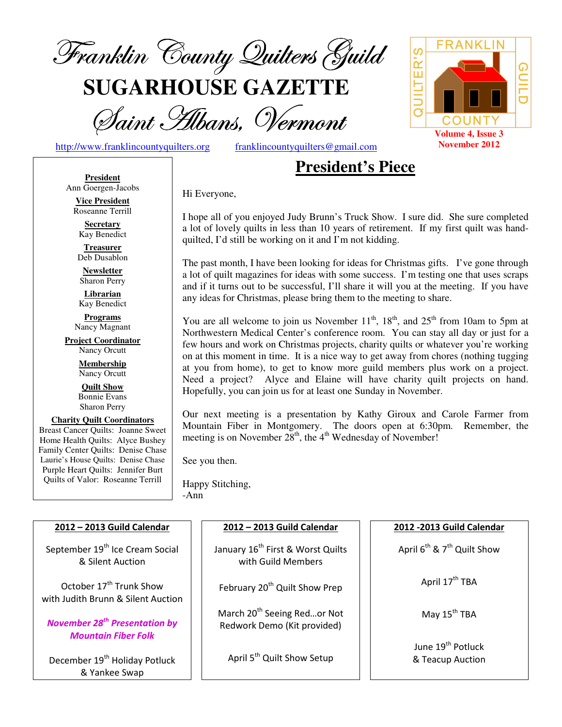

**SUGARHOUSE GAZETTE**

Saint Hibans, Vermont

QUILTER'S <u>ဂ</u> COUNT **Volume 4, Issue 3 November 2012**

http://www.franklincountyquilters.org franklincountyquilters@gmail.com

## **President's Piece**

**President** Ann Goergen-Jacobs

**Vice President**  Roseanne Terrill

**Secretary**  Kay Benedict

**Treasurer**  Deb Dusablon

**Newsletter**  Sharon Perry

**Librarian**  Kay Benedict

**Programs** Nancy Magnant

**Project Coordinator** Nancy Orcutt

> **Membership**  Nancy Orcutt

**Quilt Show** Bonnie Evans Sharon Perry

**Charity Quilt Coordinators** Breast Cancer Quilts: Joanne Sweet Home Health Quilts: Alyce Bushey Family Center Quilts: Denise Chase Laurie's House Quilts: Denise Chase Purple Heart Quilts: Jennifer Burt Quilts of Valor: Roseanne Terrill

Hi Everyone,

I hope all of you enjoyed Judy Brunn's Truck Show. I sure did. She sure completed a lot of lovely quilts in less than 10 years of retirement. If my first quilt was handquilted, I'd still be working on it and I'm not kidding.

The past month, I have been looking for ideas for Christmas gifts. I've gone through a lot of quilt magazines for ideas with some success. I'm testing one that uses scraps and if it turns out to be successful, I'll share it will you at the meeting. If you have any ideas for Christmas, please bring them to the meeting to share.

You are all welcome to join us November  $11^{th}$ ,  $18^{th}$ , and  $25^{th}$  from 10am to 5pm at Northwestern Medical Center's conference room. You can stay all day or just for a few hours and work on Christmas projects, charity quilts or whatever you're working on at this moment in time. It is a nice way to get away from chores (nothing tugging at you from home), to get to know more guild members plus work on a project. Need a project? Alyce and Elaine will have charity quilt projects on hand. Hopefully, you can join us for at least one Sunday in November.

Our next meeting is a presentation by Kathy Giroux and Carole Farmer from Mountain Fiber in Montgomery. The doors open at 6:30pm. Remember, the meeting is on November  $28<sup>th</sup>$ , the  $4<sup>th</sup>$  Wednesday of November!

See you then.

Happy Stitching, -Ann

| 2012 - 2013 Guild Calendar                                                    | 2012 - 2013 Guild Calendar                                             | 2012 - 2013 Guild Calendar                        |  |  |
|-------------------------------------------------------------------------------|------------------------------------------------------------------------|---------------------------------------------------|--|--|
| September 19 <sup>th</sup> Ice Cream Social<br>& Silent Auction               | January 16 <sup>th</sup> First & Worst Quilts<br>with Guild Members    | April $6^{th}$ & $7^{th}$ Quilt Show              |  |  |
| October 17 <sup>th</sup> Trunk Show<br>with Judith Brunn & Silent Auction     | February 20 <sup>th</sup> Quilt Show Prep                              | April 17 <sup>th</sup> TBA                        |  |  |
| <b>November 28<sup>th</sup> Presentation by</b><br><b>Mountain Fiber Folk</b> | March 20 <sup>th</sup> Seeing Redor Not<br>Redwork Demo (Kit provided) | May 15 <sup>th</sup> TBA                          |  |  |
| December 19 <sup>th</sup> Holiday Potluck<br>& Yankee Swap                    | April 5 <sup>th</sup> Quilt Show Setup                                 | June 19 <sup>th</sup> Potluck<br>& Teacup Auction |  |  |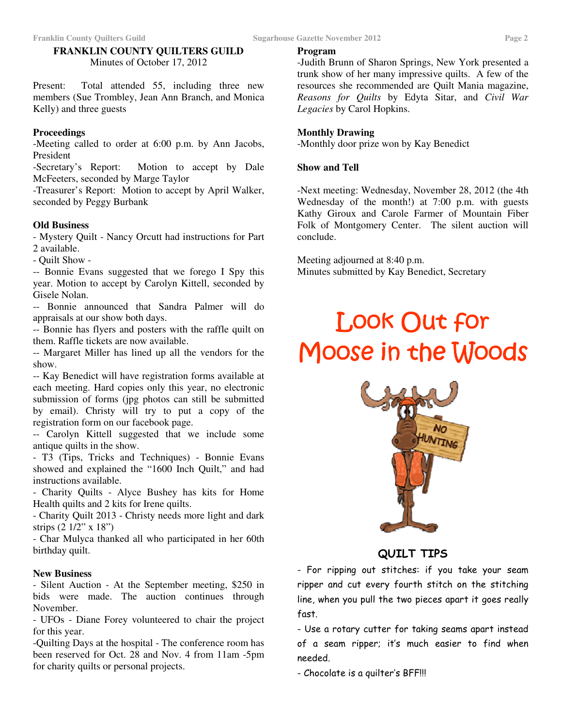## **FRANKLIN COUNTY QUILTERS GUILD**  Minutes of October 17, 2012

Present: Total attended 55, including three new members (Sue Trombley, Jean Ann Branch, and Monica Kelly) and three guests

### **Proceedings**

-Meeting called to order at 6:00 p.m. by Ann Jacobs, President

-Secretary's Report: Motion to accept by Dale McFeeters, seconded by Marge Taylor

-Treasurer's Report: Motion to accept by April Walker, seconded by Peggy Burbank

## **Old Business**

- Mystery Quilt - Nancy Orcutt had instructions for Part 2 available.

- Quilt Show -

-- Bonnie Evans suggested that we forego I Spy this year. Motion to accept by Carolyn Kittell, seconded by Gisele Nolan.

-- Bonnie announced that Sandra Palmer will do appraisals at our show both days.

-- Bonnie has flyers and posters with the raffle quilt on them. Raffle tickets are now available.

-- Margaret Miller has lined up all the vendors for the show.

-- Kay Benedict will have registration forms available at each meeting. Hard copies only this year, no electronic submission of forms (jpg photos can still be submitted by email). Christy will try to put a copy of the registration form on our facebook page.

-- Carolyn Kittell suggested that we include some antique quilts in the show.

- T3 (Tips, Tricks and Techniques) - Bonnie Evans showed and explained the "1600 Inch Quilt," and had instructions available.

- Charity Quilts - Alyce Bushey has kits for Home Health quilts and 2 kits for Irene quilts.

- Charity Quilt 2013 - Christy needs more light and dark strips (2 1/2" x 18")

- Char Mulyca thanked all who participated in her 60th birthday quilt.

## **New Business**

- Silent Auction - At the September meeting, \$250 in bids were made. The auction continues through November.

- UFOs - Diane Forey volunteered to chair the project for this year.

-Quilting Days at the hospital - The conference room has been reserved for Oct. 28 and Nov. 4 from 11am -5pm for charity quilts or personal projects.

**Program**

-Judith Brunn of Sharon Springs, New York presented a trunk show of her many impressive quilts. A few of the resources she recommended are Quilt Mania magazine, *Reasons for Quilts* by Edyta Sitar, and *Civil War Legacies* by Carol Hopkins.

## **Monthly Drawing**

-Monthly door prize won by Kay Benedict

#### **Show and Tell**

-Next meeting: Wednesday, November 28, 2012 (the 4th Wednesday of the month!) at 7:00 p.m. with guests Kathy Giroux and Carole Farmer of Mountain Fiber Folk of Montgomery Center. The silent auction will conclude.

Meeting adjourned at 8:40 p.m. Minutes submitted by Kay Benedict, Secretary

# Look Out for Moose in the Woods



QUILT TIPS

- For ripping out stitches: if you take your seam ripper and cut every fourth stitch on the stitching line, when you pull the two pieces apart it goes really fast.

- Use a rotary cutter for taking seams apart instead of a seam ripper; it's much easier to find when needed.

- Chocolate is a quilter's BFF!!!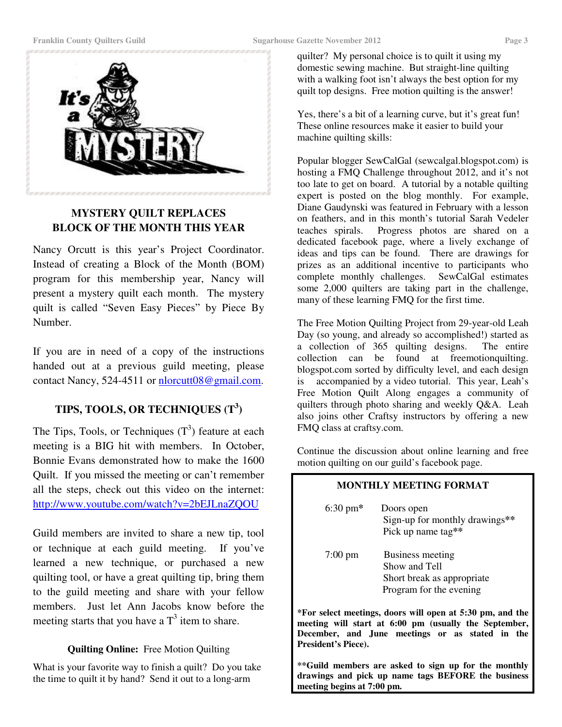

## **MYSTERY QUILT REPLACES BLOCK OF THE MONTH THIS YEAR**

Nancy Orcutt is this year's Project Coordinator. Instead of creating a Block of the Month (BOM) program for this membership year, Nancy will present a mystery quilt each month. The mystery quilt is called "Seven Easy Pieces" by Piece By Number.

If you are in need of a copy of the instructions handed out at a previous guild meeting, please contact Nancy, 524-4511 or nlorcutt08@gmail.com.

## **TIPS, TOOLS, OR TECHNIQUES (T<sup>3</sup> )**

The Tips, Tools, or Techniques  $(T^3)$  feature at each meeting is a BIG hit with members. In October, Bonnie Evans demonstrated how to make the 1600 Quilt. If you missed the meeting or can't remember all the steps, check out this video on the internet: http://www.youtube.com/watch?v=2bEJLnaZQOU

Guild members are invited to share a new tip, tool or technique at each guild meeting. If you've learned a new technique, or purchased a new quilting tool, or have a great quilting tip, bring them to the guild meeting and share with your fellow members. Just let Ann Jacobs know before the meeting starts that you have a  $T<sup>3</sup>$  item to share.

#### **Quilting Online:** Free Motion Quilting

What is your favorite way to finish a quilt? Do you take the time to quilt it by hand? Send it out to a long-arm

quilter? My personal choice is to quilt it using my domestic sewing machine. But straight-line quilting with a walking foot isn't always the best option for my quilt top designs. Free motion quilting is the answer!

Yes, there's a bit of a learning curve, but it's great fun! These online resources make it easier to build your machine quilting skills:

Popular blogger SewCalGal (sewcalgal.blogspot.com) is hosting a FMQ Challenge throughout 2012, and it's not too late to get on board. A tutorial by a notable quilting expert is posted on the blog monthly. For example, Diane Gaudynski was featured in February with a lesson on feathers, and in this month's tutorial Sarah Vedeler teaches spirals. Progress photos are shared on a dedicated facebook page, where a lively exchange of ideas and tips can be found. There are drawings for prizes as an additional incentive to participants who complete monthly challenges. SewCalGal estimates some 2,000 quilters are taking part in the challenge, many of these learning FMQ for the first time.

The Free Motion Quilting Project from 29-year-old Leah Day (so young, and already so accomplished!) started as a collection of 365 quilting designs. The entire collection can be found at freemotionquilting. blogspot.com sorted by difficulty level, and each design is accompanied by a video tutorial. This year, Leah's Free Motion Quilt Along engages a community of quilters through photo sharing and weekly Q&A. Leah also joins other Craftsy instructors by offering a new FMQ class at craftsy.com.

Continue the discussion about online learning and free motion quilting on our guild's facebook page.

#### **MONTHLY MEETING FORMAT**

| $6:30 \text{ pm*}$ | Doors open<br>Sign-up for monthly drawings**<br>Pick up name tag**                         |
|--------------------|--------------------------------------------------------------------------------------------|
| $7:00 \text{ pm}$  | Business meeting<br>Show and Tell<br>Short break as appropriate<br>Program for the evening |

**\*For select meetings, doors will open at 5:30 pm, and the meeting will start at 6:00 pm (usually the September, December, and June meetings or as stated in the President's Piece).** 

**\*\*Guild members are asked to sign up for the monthly drawings and pick up name tags BEFORE the business meeting begins at 7:00 pm.**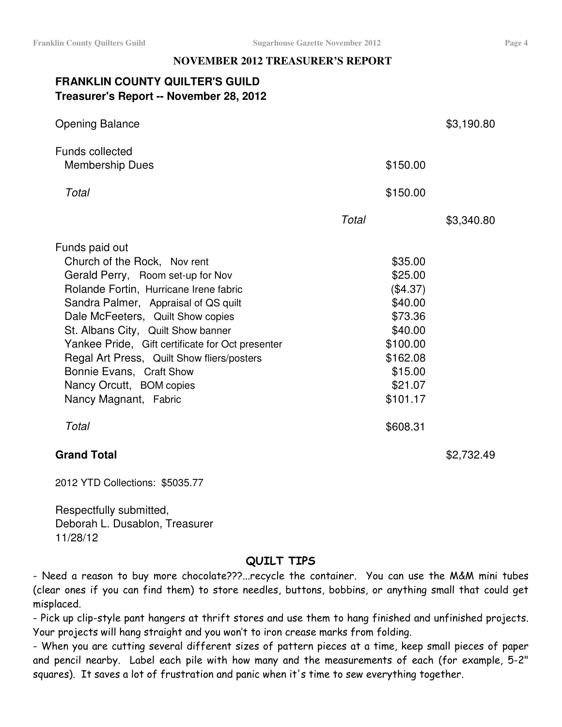## **NOVEMBER 2012 TREASURER'S REPORT**

## **FRANKLIN COUNTY QUILTER'S GUILD Treasurer's Report -- November 28, 2012**

| <b>Opening Balance</b>                           |       |            | \$3,190.80 |
|--------------------------------------------------|-------|------------|------------|
| <b>Funds collected</b>                           |       |            |            |
| <b>Membership Dues</b>                           |       | \$150.00   |            |
| Total                                            |       | \$150.00   |            |
|                                                  | Total |            | \$3,340.80 |
| Funds paid out                                   |       |            |            |
| Church of the Rock, Nov rent                     |       | \$35.00    |            |
| Gerald Perry, Room set-up for Nov                |       | \$25.00    |            |
| Rolande Fortin, Hurricane Irene fabric           |       | $(\$4.37)$ |            |
| Sandra Palmer, Appraisal of QS quilt             |       | \$40.00    |            |
| Dale McFeeters, Quilt Show copies                |       | \$73.36    |            |
| St. Albans City, Quilt Show banner               |       | \$40.00    |            |
| Yankee Pride, Gift certificate for Oct presenter |       | \$100.00   |            |
| Regal Art Press, Quilt Show fliers/posters       |       | \$162.08   |            |
| Bonnie Evans, Craft Show                         |       | \$15.00    |            |
| Nancy Orcutt, BOM copies                         |       | \$21.07    |            |
| Nancy Magnant, Fabric                            |       | \$101.17   |            |
| Total                                            |       | \$608.31   |            |
| <b>Grand Total</b>                               |       |            | \$2,732.49 |

2012 YTD Collections: \$5035.77

Respectfully submitted, Deborah L. Dusablon, Treasurer 11/28/12

## QUILT TIPS

- Need a reason to buy more chocolate???...recycle the container. You can use the M&M mini tubes (clear ones if you can find them) to store needles, buttons, bobbins, or anything small that could get misplaced.

- Pick up clip-style pant hangers at thrift stores and use them to hang finished and unfinished projects. Your projects will hang straight and you won't to iron crease marks from folding.

- When you are cutting several different sizes of pattern pieces at a time, keep small pieces of paper and pencil nearby. Label each pile with how many and the measurements of each (for example, 5-2" squares). It saves a lot of frustration and panic when it's time to sew everything together.